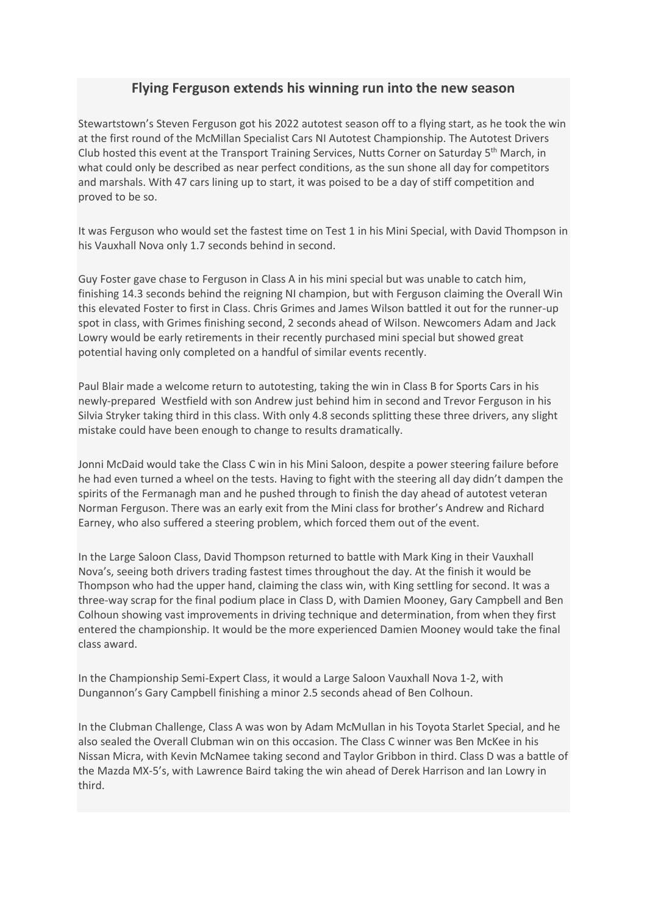# **Flying Ferguson extends his winning run into the new season**

Stewartstown's Steven Ferguson got his 2022 autotest season off to a flying start, as he took the win at the first round of the McMillan Specialist Cars NI Autotest Championship. The Autotest Drivers Club hosted this event at the Transport Training Services, Nutts Corner on Saturday 5<sup>th</sup> March, in what could only be described as near perfect conditions, as the sun shone all day for competitors and marshals. With 47 cars lining up to start, it was poised to be a day of stiff competition and proved to be so.

It was Ferguson who would set the fastest time on Test 1 in his Mini Special, with David Thompson in his Vauxhall Nova only 1.7 seconds behind in second.

Guy Foster gave chase to Ferguson in Class A in his mini special but was unable to catch him, finishing 14.3 seconds behind the reigning NI champion, but with Ferguson claiming the Overall Win this elevated Foster to first in Class. Chris Grimes and James Wilson battled it out for the runner-up spot in class, with Grimes finishing second, 2 seconds ahead of Wilson. Newcomers Adam and Jack Lowry would be early retirements in their recently purchased mini special but showed great potential having only completed on a handful of similar events recently.

Paul Blair made a welcome return to autotesting, taking the win in Class B for Sports Cars in his newly-prepared Westfield with son Andrew just behind him in second and Trevor Ferguson in his Silvia Stryker taking third in this class. With only 4.8 seconds splitting these three drivers, any slight mistake could have been enough to change to results dramatically.

Jonni McDaid would take the Class C win in his Mini Saloon, despite a power steering failure before he had even turned a wheel on the tests. Having to fight with the steering all day didn't dampen the spirits of the Fermanagh man and he pushed through to finish the day ahead of autotest veteran Norman Ferguson. There was an early exit from the Mini class for brother's Andrew and Richard Earney, who also suffered a steering problem, which forced them out of the event.

In the Large Saloon Class, David Thompson returned to battle with Mark King in their Vauxhall Nova's, seeing both drivers trading fastest times throughout the day. At the finish it would be Thompson who had the upper hand, claiming the class win, with King settling for second. It was a three-way scrap for the final podium place in Class D, with Damien Mooney, Gary Campbell and Ben Colhoun showing vast improvements in driving technique and determination, from when they first entered the championship. It would be the more experienced Damien Mooney would take the final class award.

In the Championship Semi-Expert Class, it would a Large Saloon Vauxhall Nova 1-2, with Dungannon's Gary Campbell finishing a minor 2.5 seconds ahead of Ben Colhoun.

In the Clubman Challenge, Class A was won by Adam McMullan in his Toyota Starlet Special, and he also sealed the Overall Clubman win on this occasion. The Class C winner was Ben McKee in his Nissan Micra, with Kevin McNamee taking second and Taylor Gribbon in third. Class D was a battle of the Mazda MX-5's, with Lawrence Baird taking the win ahead of Derek Harrison and Ian Lowry in third.